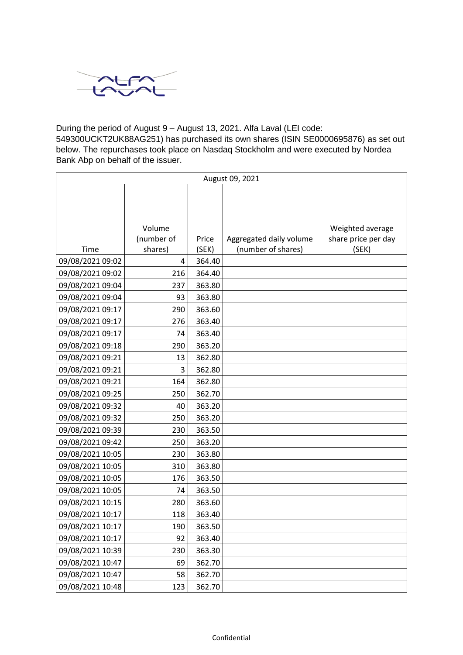

## During the period of August 9 – August 13, 2021. Alfa Laval (LEI code:

549300UCKT2UK88AG251) has purchased its own shares (ISIN SE0000695876) as set out below. The repurchases took place on Nasdaq Stockholm and were executed by Nordea Bank Abp on behalf of the issuer.

| August 09, 2021  |            |        |                         |                     |
|------------------|------------|--------|-------------------------|---------------------|
|                  |            |        |                         |                     |
|                  |            |        |                         |                     |
|                  |            |        |                         |                     |
|                  | Volume     |        |                         | Weighted average    |
|                  | (number of | Price  | Aggregated daily volume | share price per day |
| Time             | shares)    | (SEK)  | (number of shares)      | (SEK)               |
| 09/08/2021 09:02 | 4          | 364.40 |                         |                     |
| 09/08/2021 09:02 | 216        | 364.40 |                         |                     |
| 09/08/2021 09:04 | 237        | 363.80 |                         |                     |
| 09/08/2021 09:04 | 93         | 363.80 |                         |                     |
| 09/08/2021 09:17 | 290        | 363.60 |                         |                     |
| 09/08/2021 09:17 | 276        | 363.40 |                         |                     |
| 09/08/2021 09:17 | 74         | 363.40 |                         |                     |
| 09/08/2021 09:18 | 290        | 363.20 |                         |                     |
| 09/08/2021 09:21 | 13         | 362.80 |                         |                     |
| 09/08/2021 09:21 | 3          | 362.80 |                         |                     |
| 09/08/2021 09:21 | 164        | 362.80 |                         |                     |
| 09/08/2021 09:25 | 250        | 362.70 |                         |                     |
| 09/08/2021 09:32 | 40         | 363.20 |                         |                     |
| 09/08/2021 09:32 | 250        | 363.20 |                         |                     |
| 09/08/2021 09:39 | 230        | 363.50 |                         |                     |
| 09/08/2021 09:42 | 250        | 363.20 |                         |                     |
| 09/08/2021 10:05 | 230        | 363.80 |                         |                     |
| 09/08/2021 10:05 | 310        | 363.80 |                         |                     |
| 09/08/2021 10:05 | 176        | 363.50 |                         |                     |
| 09/08/2021 10:05 | 74         | 363.50 |                         |                     |
| 09/08/2021 10:15 | 280        | 363.60 |                         |                     |
| 09/08/2021 10:17 | 118        | 363.40 |                         |                     |
| 09/08/2021 10:17 | 190        | 363.50 |                         |                     |
| 09/08/2021 10:17 | 92         | 363.40 |                         |                     |
| 09/08/2021 10:39 | 230        | 363.30 |                         |                     |
| 09/08/2021 10:47 | 69         | 362.70 |                         |                     |
| 09/08/2021 10:47 | 58         | 362.70 |                         |                     |
| 09/08/2021 10:48 | 123        | 362.70 |                         |                     |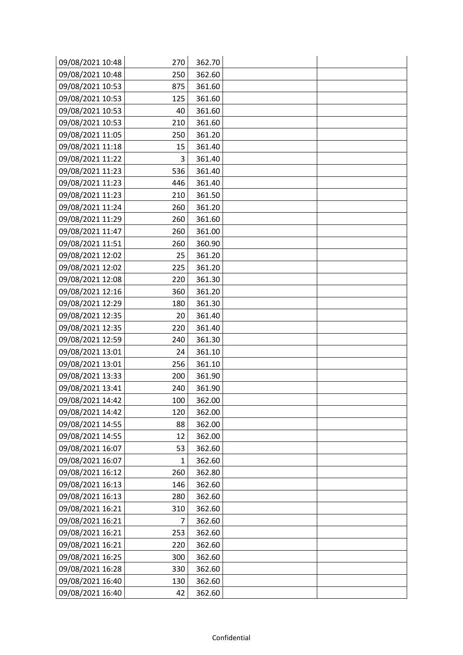| 09/08/2021 10:48 | 270 | 362.70 |  |
|------------------|-----|--------|--|
| 09/08/2021 10:48 | 250 | 362.60 |  |
| 09/08/2021 10:53 | 875 | 361.60 |  |
| 09/08/2021 10:53 | 125 | 361.60 |  |
| 09/08/2021 10:53 | 40  | 361.60 |  |
| 09/08/2021 10:53 | 210 | 361.60 |  |
| 09/08/2021 11:05 | 250 | 361.20 |  |
| 09/08/2021 11:18 | 15  | 361.40 |  |
| 09/08/2021 11:22 | 3   | 361.40 |  |
| 09/08/2021 11:23 | 536 | 361.40 |  |
| 09/08/2021 11:23 | 446 | 361.40 |  |
| 09/08/2021 11:23 | 210 | 361.50 |  |
| 09/08/2021 11:24 | 260 | 361.20 |  |
| 09/08/2021 11:29 | 260 | 361.60 |  |
| 09/08/2021 11:47 | 260 | 361.00 |  |
| 09/08/2021 11:51 | 260 | 360.90 |  |
| 09/08/2021 12:02 | 25  | 361.20 |  |
| 09/08/2021 12:02 | 225 | 361.20 |  |
| 09/08/2021 12:08 | 220 | 361.30 |  |
| 09/08/2021 12:16 | 360 | 361.20 |  |
| 09/08/2021 12:29 | 180 | 361.30 |  |
| 09/08/2021 12:35 | 20  | 361.40 |  |
| 09/08/2021 12:35 | 220 | 361.40 |  |
| 09/08/2021 12:59 | 240 | 361.30 |  |
| 09/08/2021 13:01 | 24  | 361.10 |  |
| 09/08/2021 13:01 | 256 | 361.10 |  |
| 09/08/2021 13:33 | 200 | 361.90 |  |
| 09/08/2021 13:41 | 240 | 361.90 |  |
| 09/08/2021 14:42 | 100 | 362.00 |  |
| 09/08/2021 14:42 | 120 | 362.00 |  |
| 09/08/2021 14:55 | 88  | 362.00 |  |
| 09/08/2021 14:55 | 12  | 362.00 |  |
| 09/08/2021 16:07 | 53  | 362.60 |  |
| 09/08/2021 16:07 | 1   | 362.60 |  |
| 09/08/2021 16:12 | 260 | 362.80 |  |
| 09/08/2021 16:13 | 146 | 362.60 |  |
| 09/08/2021 16:13 | 280 | 362.60 |  |
| 09/08/2021 16:21 | 310 | 362.60 |  |
| 09/08/2021 16:21 | 7   | 362.60 |  |
| 09/08/2021 16:21 | 253 | 362.60 |  |
| 09/08/2021 16:21 | 220 | 362.60 |  |
| 09/08/2021 16:25 | 300 | 362.60 |  |
| 09/08/2021 16:28 | 330 | 362.60 |  |
| 09/08/2021 16:40 | 130 | 362.60 |  |
| 09/08/2021 16:40 | 42  | 362.60 |  |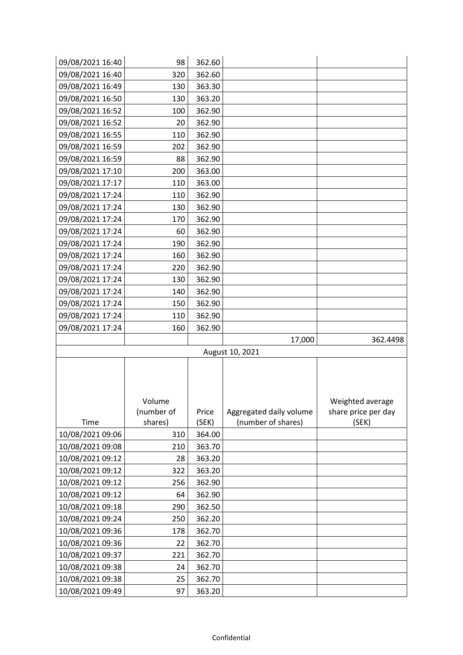| 09/08/2021 16:40 | 98         | 362.60 |                         |                                         |
|------------------|------------|--------|-------------------------|-----------------------------------------|
| 09/08/2021 16:40 | 320        | 362.60 |                         |                                         |
| 09/08/2021 16:49 | 130        | 363.30 |                         |                                         |
| 09/08/2021 16:50 | 130        | 363.20 |                         |                                         |
| 09/08/2021 16:52 | 100        | 362.90 |                         |                                         |
| 09/08/2021 16:52 | 20         | 362.90 |                         |                                         |
| 09/08/2021 16:55 | 110        | 362.90 |                         |                                         |
| 09/08/2021 16:59 | 202        | 362.90 |                         |                                         |
| 09/08/2021 16:59 | 88         | 362.90 |                         |                                         |
| 09/08/2021 17:10 | 200        | 363.00 |                         |                                         |
| 09/08/2021 17:17 | 110        | 363.00 |                         |                                         |
| 09/08/2021 17:24 | 110        | 362.90 |                         |                                         |
| 09/08/2021 17:24 | 130        | 362.90 |                         |                                         |
| 09/08/2021 17:24 | 170        | 362.90 |                         |                                         |
| 09/08/2021 17:24 | 60         | 362.90 |                         |                                         |
| 09/08/2021 17:24 | 190        | 362.90 |                         |                                         |
| 09/08/2021 17:24 | 160        | 362.90 |                         |                                         |
| 09/08/2021 17:24 | 220        | 362.90 |                         |                                         |
| 09/08/2021 17:24 | 130        | 362.90 |                         |                                         |
| 09/08/2021 17:24 | 140        | 362.90 |                         |                                         |
| 09/08/2021 17:24 | 150        | 362.90 |                         |                                         |
| 09/08/2021 17:24 | 110        | 362.90 |                         |                                         |
| 09/08/2021 17:24 | 160        | 362.90 |                         |                                         |
|                  |            |        | 17,000                  | 362.4498                                |
|                  |            |        |                         |                                         |
|                  |            |        | August 10, 2021         |                                         |
|                  |            |        |                         |                                         |
|                  |            |        |                         |                                         |
|                  |            |        |                         |                                         |
|                  | Volume     |        |                         |                                         |
|                  | (number of | Price  | Aggregated daily volume | Weighted average<br>share price per day |
| Time             | shares)    | (SEK)  | (number of shares)      | (SEK)                                   |
| 10/08/2021 09:06 | 310        | 364.00 |                         |                                         |
| 10/08/2021 09:08 | 210        | 363.70 |                         |                                         |
| 10/08/2021 09:12 | 28         | 363.20 |                         |                                         |
| 10/08/2021 09:12 | 322        | 363.20 |                         |                                         |
| 10/08/2021 09:12 | 256        | 362.90 |                         |                                         |
| 10/08/2021 09:12 | 64         | 362.90 |                         |                                         |
| 10/08/2021 09:18 | 290        | 362.50 |                         |                                         |
| 10/08/2021 09:24 | 250        | 362.20 |                         |                                         |
| 10/08/2021 09:36 | 178        | 362.70 |                         |                                         |
| 10/08/2021 09:36 | 22         | 362.70 |                         |                                         |
| 10/08/2021 09:37 | 221        | 362.70 |                         |                                         |
| 10/08/2021 09:38 | 24         | 362.70 |                         |                                         |
| 10/08/2021 09:38 | 25         | 362.70 |                         |                                         |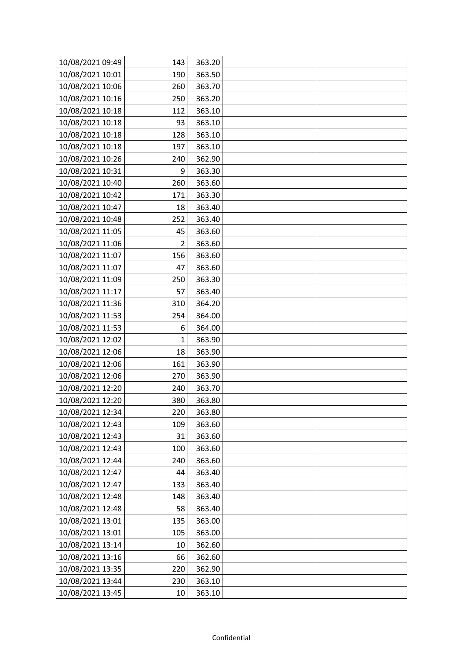| 10/08/2021 09:49 | 143 | 363.20 |  |
|------------------|-----|--------|--|
| 10/08/2021 10:01 | 190 | 363.50 |  |
| 10/08/2021 10:06 | 260 | 363.70 |  |
| 10/08/2021 10:16 | 250 | 363.20 |  |
| 10/08/2021 10:18 | 112 | 363.10 |  |
| 10/08/2021 10:18 | 93  | 363.10 |  |
| 10/08/2021 10:18 | 128 | 363.10 |  |
| 10/08/2021 10:18 | 197 | 363.10 |  |
| 10/08/2021 10:26 | 240 | 362.90 |  |
| 10/08/2021 10:31 | 9   | 363.30 |  |
| 10/08/2021 10:40 | 260 | 363.60 |  |
| 10/08/2021 10:42 | 171 | 363.30 |  |
| 10/08/2021 10:47 | 18  | 363.40 |  |
| 10/08/2021 10:48 | 252 | 363.40 |  |
| 10/08/2021 11:05 | 45  | 363.60 |  |
| 10/08/2021 11:06 | 2   | 363.60 |  |
| 10/08/2021 11:07 | 156 | 363.60 |  |
| 10/08/2021 11:07 | 47  | 363.60 |  |
| 10/08/2021 11:09 | 250 | 363.30 |  |
| 10/08/2021 11:17 | 57  | 363.40 |  |
| 10/08/2021 11:36 | 310 | 364.20 |  |
| 10/08/2021 11:53 | 254 | 364.00 |  |
| 10/08/2021 11:53 | 6   | 364.00 |  |
| 10/08/2021 12:02 | 1   | 363.90 |  |
| 10/08/2021 12:06 | 18  | 363.90 |  |
| 10/08/2021 12:06 | 161 | 363.90 |  |
| 10/08/2021 12:06 | 270 | 363.90 |  |
| 10/08/2021 12:20 | 240 | 363.70 |  |
| 10/08/2021 12:20 | 380 | 363.80 |  |
| 10/08/2021 12:34 | 220 | 363.80 |  |
| 10/08/2021 12:43 | 109 | 363.60 |  |
| 10/08/2021 12:43 | 31  | 363.60 |  |
| 10/08/2021 12:43 | 100 | 363.60 |  |
| 10/08/2021 12:44 | 240 | 363.60 |  |
| 10/08/2021 12:47 | 44  | 363.40 |  |
| 10/08/2021 12:47 | 133 | 363.40 |  |
| 10/08/2021 12:48 | 148 | 363.40 |  |
| 10/08/2021 12:48 | 58  | 363.40 |  |
| 10/08/2021 13:01 | 135 | 363.00 |  |
| 10/08/2021 13:01 | 105 | 363.00 |  |
| 10/08/2021 13:14 | 10  | 362.60 |  |
| 10/08/2021 13:16 | 66  | 362.60 |  |
| 10/08/2021 13:35 | 220 | 362.90 |  |
| 10/08/2021 13:44 | 230 | 363.10 |  |
| 10/08/2021 13:45 | 10  | 363.10 |  |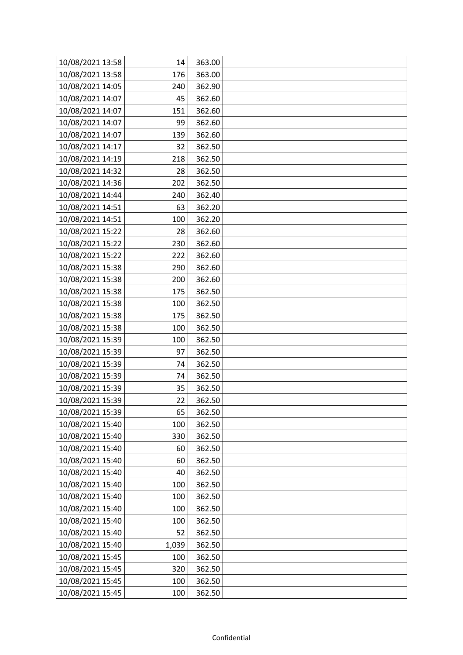| 10/08/2021 13:58 | 14    | 363.00 |  |
|------------------|-------|--------|--|
| 10/08/2021 13:58 | 176   | 363.00 |  |
| 10/08/2021 14:05 | 240   | 362.90 |  |
| 10/08/2021 14:07 | 45    | 362.60 |  |
| 10/08/2021 14:07 | 151   | 362.60 |  |
| 10/08/2021 14:07 | 99    | 362.60 |  |
| 10/08/2021 14:07 | 139   | 362.60 |  |
| 10/08/2021 14:17 | 32    | 362.50 |  |
| 10/08/2021 14:19 | 218   | 362.50 |  |
| 10/08/2021 14:32 | 28    | 362.50 |  |
| 10/08/2021 14:36 | 202   | 362.50 |  |
| 10/08/2021 14:44 | 240   | 362.40 |  |
| 10/08/2021 14:51 | 63    | 362.20 |  |
| 10/08/2021 14:51 | 100   | 362.20 |  |
| 10/08/2021 15:22 | 28    | 362.60 |  |
| 10/08/2021 15:22 | 230   | 362.60 |  |
| 10/08/2021 15:22 | 222   | 362.60 |  |
| 10/08/2021 15:38 | 290   | 362.60 |  |
| 10/08/2021 15:38 | 200   | 362.60 |  |
| 10/08/2021 15:38 | 175   | 362.50 |  |
| 10/08/2021 15:38 | 100   | 362.50 |  |
| 10/08/2021 15:38 | 175   | 362.50 |  |
| 10/08/2021 15:38 | 100   | 362.50 |  |
| 10/08/2021 15:39 | 100   | 362.50 |  |
| 10/08/2021 15:39 | 97    | 362.50 |  |
| 10/08/2021 15:39 | 74    | 362.50 |  |
| 10/08/2021 15:39 | 74    | 362.50 |  |
| 10/08/2021 15:39 | 35    | 362.50 |  |
| 10/08/2021 15:39 | 22    | 362.50 |  |
| 10/08/2021 15:39 | 65    | 362.50 |  |
| 10/08/2021 15:40 | 100   | 362.50 |  |
| 10/08/2021 15:40 | 330   | 362.50 |  |
| 10/08/2021 15:40 | 60    | 362.50 |  |
| 10/08/2021 15:40 | 60    | 362.50 |  |
| 10/08/2021 15:40 | 40    | 362.50 |  |
| 10/08/2021 15:40 | 100   | 362.50 |  |
| 10/08/2021 15:40 | 100   | 362.50 |  |
| 10/08/2021 15:40 | 100   | 362.50 |  |
| 10/08/2021 15:40 | 100   | 362.50 |  |
| 10/08/2021 15:40 | 52    | 362.50 |  |
| 10/08/2021 15:40 | 1,039 | 362.50 |  |
| 10/08/2021 15:45 | 100   | 362.50 |  |
| 10/08/2021 15:45 | 320   | 362.50 |  |
| 10/08/2021 15:45 | 100   | 362.50 |  |
| 10/08/2021 15:45 | 100   | 362.50 |  |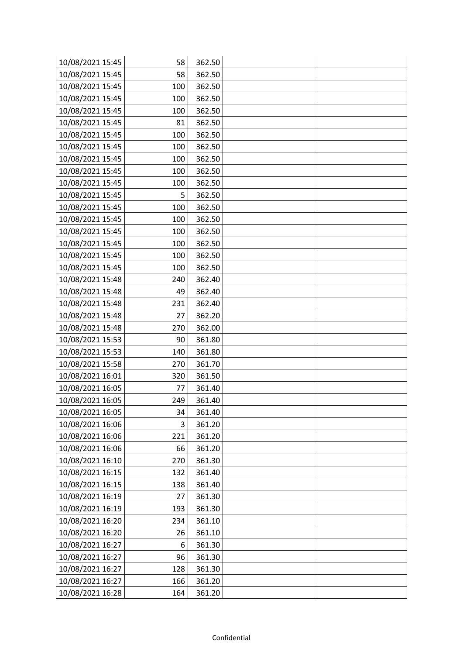| 10/08/2021 15:45 | 58  | 362.50 |  |
|------------------|-----|--------|--|
| 10/08/2021 15:45 | 58  | 362.50 |  |
| 10/08/2021 15:45 | 100 | 362.50 |  |
| 10/08/2021 15:45 | 100 | 362.50 |  |
| 10/08/2021 15:45 | 100 | 362.50 |  |
| 10/08/2021 15:45 | 81  | 362.50 |  |
| 10/08/2021 15:45 | 100 | 362.50 |  |
| 10/08/2021 15:45 | 100 | 362.50 |  |
| 10/08/2021 15:45 | 100 | 362.50 |  |
| 10/08/2021 15:45 | 100 | 362.50 |  |
| 10/08/2021 15:45 | 100 | 362.50 |  |
| 10/08/2021 15:45 | 5   | 362.50 |  |
| 10/08/2021 15:45 | 100 | 362.50 |  |
| 10/08/2021 15:45 | 100 | 362.50 |  |
| 10/08/2021 15:45 | 100 | 362.50 |  |
| 10/08/2021 15:45 | 100 | 362.50 |  |
| 10/08/2021 15:45 | 100 | 362.50 |  |
| 10/08/2021 15:45 | 100 | 362.50 |  |
| 10/08/2021 15:48 | 240 | 362.40 |  |
| 10/08/2021 15:48 | 49  | 362.40 |  |
| 10/08/2021 15:48 | 231 | 362.40 |  |
| 10/08/2021 15:48 | 27  | 362.20 |  |
| 10/08/2021 15:48 | 270 | 362.00 |  |
| 10/08/2021 15:53 | 90  | 361.80 |  |
| 10/08/2021 15:53 | 140 | 361.80 |  |
| 10/08/2021 15:58 | 270 | 361.70 |  |
| 10/08/2021 16:01 | 320 | 361.50 |  |
| 10/08/2021 16:05 | 77  | 361.40 |  |
| 10/08/2021 16:05 | 249 | 361.40 |  |
| 10/08/2021 16:05 | 34  | 361.40 |  |
| 10/08/2021 16:06 | 3   | 361.20 |  |
| 10/08/2021 16:06 | 221 | 361.20 |  |
| 10/08/2021 16:06 | 66  | 361.20 |  |
| 10/08/2021 16:10 | 270 | 361.30 |  |
| 10/08/2021 16:15 | 132 | 361.40 |  |
| 10/08/2021 16:15 | 138 | 361.40 |  |
| 10/08/2021 16:19 | 27  | 361.30 |  |
| 10/08/2021 16:19 | 193 | 361.30 |  |
| 10/08/2021 16:20 | 234 | 361.10 |  |
| 10/08/2021 16:20 | 26  | 361.10 |  |
| 10/08/2021 16:27 | 6   | 361.30 |  |
| 10/08/2021 16:27 | 96  | 361.30 |  |
| 10/08/2021 16:27 | 128 | 361.30 |  |
| 10/08/2021 16:27 | 166 | 361.20 |  |
| 10/08/2021 16:28 | 164 | 361.20 |  |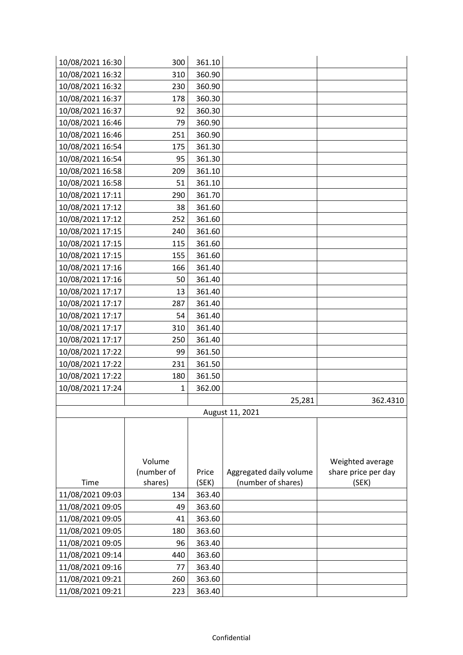| 10/08/2021 16:30 | 300        | 361.10 |                         |                                         |
|------------------|------------|--------|-------------------------|-----------------------------------------|
| 10/08/2021 16:32 | 310        | 360.90 |                         |                                         |
| 10/08/2021 16:32 | 230        | 360.90 |                         |                                         |
| 10/08/2021 16:37 | 178        | 360.30 |                         |                                         |
| 10/08/2021 16:37 | 92         | 360.30 |                         |                                         |
| 10/08/2021 16:46 | 79         | 360.90 |                         |                                         |
| 10/08/2021 16:46 | 251        | 360.90 |                         |                                         |
| 10/08/2021 16:54 | 175        | 361.30 |                         |                                         |
| 10/08/2021 16:54 | 95         | 361.30 |                         |                                         |
| 10/08/2021 16:58 | 209        | 361.10 |                         |                                         |
| 10/08/2021 16:58 | 51         | 361.10 |                         |                                         |
| 10/08/2021 17:11 | 290        | 361.70 |                         |                                         |
| 10/08/2021 17:12 | 38         | 361.60 |                         |                                         |
| 10/08/2021 17:12 | 252        | 361.60 |                         |                                         |
| 10/08/2021 17:15 | 240        | 361.60 |                         |                                         |
| 10/08/2021 17:15 | 115        | 361.60 |                         |                                         |
| 10/08/2021 17:15 | 155        | 361.60 |                         |                                         |
| 10/08/2021 17:16 | 166        | 361.40 |                         |                                         |
| 10/08/2021 17:16 | 50         | 361.40 |                         |                                         |
| 10/08/2021 17:17 | 13         | 361.40 |                         |                                         |
| 10/08/2021 17:17 | 287        | 361.40 |                         |                                         |
| 10/08/2021 17:17 | 54         | 361.40 |                         |                                         |
| 10/08/2021 17:17 | 310        | 361.40 |                         |                                         |
| 10/08/2021 17:17 | 250        | 361.40 |                         |                                         |
| 10/08/2021 17:22 | 99         | 361.50 |                         |                                         |
| 10/08/2021 17:22 | 231        | 361.50 |                         |                                         |
| 10/08/2021 17:22 | 180        | 361.50 |                         |                                         |
| 10/08/2021 17:24 | 1          | 362.00 |                         |                                         |
|                  |            |        | 25,281                  | 362.4310                                |
|                  |            |        | August 11, 2021         |                                         |
|                  |            |        |                         |                                         |
|                  |            |        |                         |                                         |
|                  | Volume     |        |                         |                                         |
|                  | (number of | Price  | Aggregated daily volume | Weighted average<br>share price per day |
| Time             | shares)    | (SEK)  | (number of shares)      | (SEK)                                   |
| 11/08/2021 09:03 | 134        | 363.40 |                         |                                         |
| 11/08/2021 09:05 | 49         | 363.60 |                         |                                         |
| 11/08/2021 09:05 | 41         | 363.60 |                         |                                         |
| 11/08/2021 09:05 | 180        | 363.60 |                         |                                         |
| 11/08/2021 09:05 | 96         | 363.40 |                         |                                         |
| 11/08/2021 09:14 | 440        | 363.60 |                         |                                         |
| 11/08/2021 09:16 | 77         | 363.40 |                         |                                         |
| 11/08/2021 09:21 | 260        | 363.60 |                         |                                         |
| 11/08/2021 09:21 | 223        | 363.40 |                         |                                         |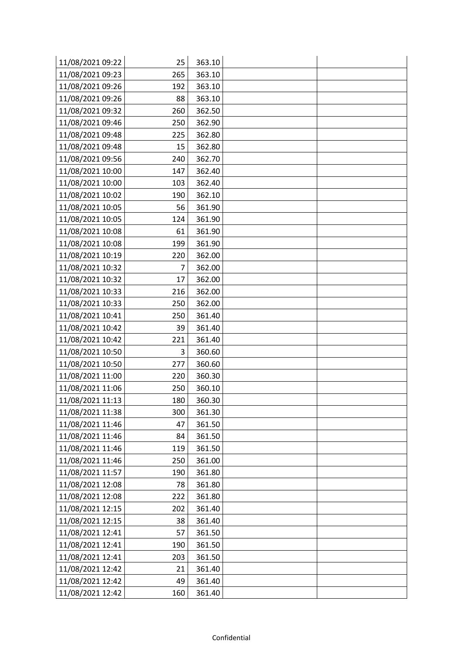| 11/08/2021 09:22 | 25  | 363.10 |  |
|------------------|-----|--------|--|
| 11/08/2021 09:23 | 265 | 363.10 |  |
| 11/08/2021 09:26 | 192 | 363.10 |  |
| 11/08/2021 09:26 | 88  | 363.10 |  |
| 11/08/2021 09:32 | 260 | 362.50 |  |
| 11/08/2021 09:46 | 250 | 362.90 |  |
| 11/08/2021 09:48 | 225 | 362.80 |  |
| 11/08/2021 09:48 | 15  | 362.80 |  |
| 11/08/2021 09:56 | 240 | 362.70 |  |
| 11/08/2021 10:00 | 147 | 362.40 |  |
| 11/08/2021 10:00 | 103 | 362.40 |  |
| 11/08/2021 10:02 | 190 | 362.10 |  |
| 11/08/2021 10:05 | 56  | 361.90 |  |
| 11/08/2021 10:05 | 124 | 361.90 |  |
| 11/08/2021 10:08 | 61  | 361.90 |  |
| 11/08/2021 10:08 | 199 | 361.90 |  |
| 11/08/2021 10:19 | 220 | 362.00 |  |
| 11/08/2021 10:32 | 7   | 362.00 |  |
| 11/08/2021 10:32 | 17  | 362.00 |  |
| 11/08/2021 10:33 | 216 | 362.00 |  |
| 11/08/2021 10:33 | 250 | 362.00 |  |
| 11/08/2021 10:41 | 250 | 361.40 |  |
| 11/08/2021 10:42 | 39  | 361.40 |  |
| 11/08/2021 10:42 | 221 | 361.40 |  |
| 11/08/2021 10:50 | 3   | 360.60 |  |
| 11/08/2021 10:50 | 277 | 360.60 |  |
| 11/08/2021 11:00 | 220 | 360.30 |  |
| 11/08/2021 11:06 | 250 | 360.10 |  |
| 11/08/2021 11:13 | 180 | 360.30 |  |
| 11/08/2021 11:38 | 300 | 361.30 |  |
| 11/08/2021 11:46 | 47  | 361.50 |  |
| 11/08/2021 11:46 | 84  | 361.50 |  |
| 11/08/2021 11:46 | 119 | 361.50 |  |
| 11/08/2021 11:46 | 250 | 361.00 |  |
| 11/08/2021 11:57 | 190 | 361.80 |  |
| 11/08/2021 12:08 | 78  | 361.80 |  |
| 11/08/2021 12:08 | 222 | 361.80 |  |
| 11/08/2021 12:15 | 202 | 361.40 |  |
| 11/08/2021 12:15 | 38  | 361.40 |  |
| 11/08/2021 12:41 | 57  | 361.50 |  |
| 11/08/2021 12:41 | 190 | 361.50 |  |
| 11/08/2021 12:41 | 203 | 361.50 |  |
| 11/08/2021 12:42 | 21  | 361.40 |  |
| 11/08/2021 12:42 | 49  | 361.40 |  |
| 11/08/2021 12:42 | 160 | 361.40 |  |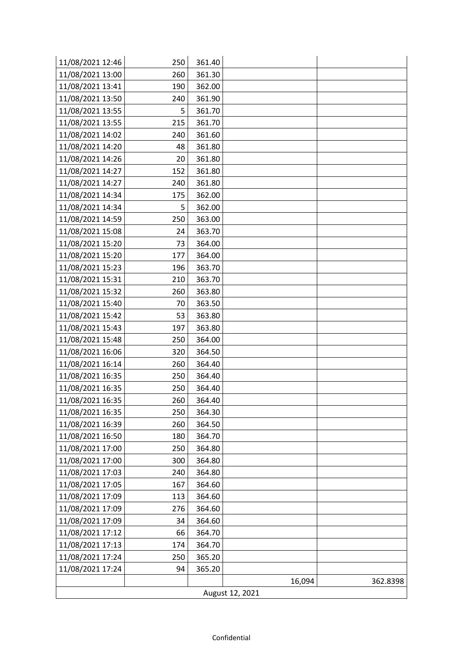| 11/08/2021 12:46 | 250 | 361.40 |        |          |  |
|------------------|-----|--------|--------|----------|--|
| 11/08/2021 13:00 | 260 | 361.30 |        |          |  |
| 11/08/2021 13:41 | 190 | 362.00 |        |          |  |
| 11/08/2021 13:50 | 240 | 361.90 |        |          |  |
| 11/08/2021 13:55 | 5   | 361.70 |        |          |  |
| 11/08/2021 13:55 | 215 | 361.70 |        |          |  |
| 11/08/2021 14:02 | 240 | 361.60 |        |          |  |
| 11/08/2021 14:20 | 48  | 361.80 |        |          |  |
| 11/08/2021 14:26 | 20  | 361.80 |        |          |  |
| 11/08/2021 14:27 | 152 | 361.80 |        |          |  |
| 11/08/2021 14:27 | 240 | 361.80 |        |          |  |
| 11/08/2021 14:34 | 175 | 362.00 |        |          |  |
| 11/08/2021 14:34 | 5   | 362.00 |        |          |  |
| 11/08/2021 14:59 | 250 | 363.00 |        |          |  |
| 11/08/2021 15:08 | 24  | 363.70 |        |          |  |
| 11/08/2021 15:20 | 73  | 364.00 |        |          |  |
| 11/08/2021 15:20 | 177 | 364.00 |        |          |  |
| 11/08/2021 15:23 | 196 | 363.70 |        |          |  |
| 11/08/2021 15:31 | 210 | 363.70 |        |          |  |
| 11/08/2021 15:32 | 260 | 363.80 |        |          |  |
| 11/08/2021 15:40 | 70  | 363.50 |        |          |  |
| 11/08/2021 15:42 | 53  | 363.80 |        |          |  |
| 11/08/2021 15:43 | 197 | 363.80 |        |          |  |
| 11/08/2021 15:48 | 250 | 364.00 |        |          |  |
| 11/08/2021 16:06 | 320 | 364.50 |        |          |  |
| 11/08/2021 16:14 | 260 | 364.40 |        |          |  |
| 11/08/2021 16:35 | 250 | 364.40 |        |          |  |
| 11/08/2021 16:35 | 250 | 364.40 |        |          |  |
| 11/08/2021 16:35 | 260 | 364.40 |        |          |  |
| 11/08/2021 16:35 | 250 | 364.30 |        |          |  |
| 11/08/2021 16:39 | 260 | 364.50 |        |          |  |
| 11/08/2021 16:50 | 180 | 364.70 |        |          |  |
| 11/08/2021 17:00 | 250 | 364.80 |        |          |  |
| 11/08/2021 17:00 | 300 | 364.80 |        |          |  |
| 11/08/2021 17:03 | 240 | 364.80 |        |          |  |
| 11/08/2021 17:05 | 167 | 364.60 |        |          |  |
| 11/08/2021 17:09 | 113 | 364.60 |        |          |  |
| 11/08/2021 17:09 | 276 | 364.60 |        |          |  |
| 11/08/2021 17:09 | 34  | 364.60 |        |          |  |
| 11/08/2021 17:12 | 66  | 364.70 |        |          |  |
| 11/08/2021 17:13 | 174 | 364.70 |        |          |  |
| 11/08/2021 17:24 | 250 | 365.20 |        |          |  |
| 11/08/2021 17:24 | 94  | 365.20 |        |          |  |
|                  |     |        | 16,094 | 362.8398 |  |
| August 12, 2021  |     |        |        |          |  |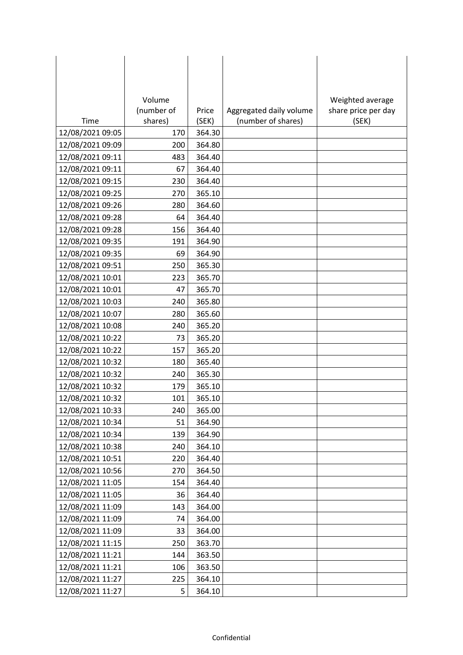|                  | Volume     |        |                         | Weighted average    |
|------------------|------------|--------|-------------------------|---------------------|
|                  | (number of | Price  | Aggregated daily volume | share price per day |
| Time             | shares)    | (SEK)  | (number of shares)      | (SEK)               |
| 12/08/2021 09:05 | 170        | 364.30 |                         |                     |
| 12/08/2021 09:09 | 200        | 364.80 |                         |                     |
| 12/08/2021 09:11 | 483        | 364.40 |                         |                     |
| 12/08/2021 09:11 | 67         | 364.40 |                         |                     |
| 12/08/2021 09:15 | 230        | 364.40 |                         |                     |
| 12/08/2021 09:25 | 270        | 365.10 |                         |                     |
| 12/08/2021 09:26 | 280        | 364.60 |                         |                     |
| 12/08/2021 09:28 | 64         | 364.40 |                         |                     |
| 12/08/2021 09:28 | 156        | 364.40 |                         |                     |
| 12/08/2021 09:35 | 191        | 364.90 |                         |                     |
| 12/08/2021 09:35 | 69         | 364.90 |                         |                     |
| 12/08/2021 09:51 | 250        | 365.30 |                         |                     |
| 12/08/2021 10:01 | 223        | 365.70 |                         |                     |
| 12/08/2021 10:01 | 47         | 365.70 |                         |                     |
| 12/08/2021 10:03 | 240        | 365.80 |                         |                     |
| 12/08/2021 10:07 | 280        | 365.60 |                         |                     |
| 12/08/2021 10:08 | 240        | 365.20 |                         |                     |
| 12/08/2021 10:22 | 73         | 365.20 |                         |                     |
| 12/08/2021 10:22 | 157        | 365.20 |                         |                     |
| 12/08/2021 10:32 | 180        | 365.40 |                         |                     |
| 12/08/2021 10:32 | 240        | 365.30 |                         |                     |
| 12/08/2021 10:32 | 179        | 365.10 |                         |                     |
| 12/08/2021 10:32 | 101        | 365.10 |                         |                     |
| 12/08/2021 10:33 | 240        | 365.00 |                         |                     |
| 12/08/2021 10:34 | 51         | 364.90 |                         |                     |
| 12/08/2021 10:34 | 139        | 364.90 |                         |                     |
| 12/08/2021 10:38 | 240        | 364.10 |                         |                     |
| 12/08/2021 10:51 | 220        | 364.40 |                         |                     |
| 12/08/2021 10:56 | 270        | 364.50 |                         |                     |
| 12/08/2021 11:05 | 154        | 364.40 |                         |                     |
| 12/08/2021 11:05 | 36         | 364.40 |                         |                     |
| 12/08/2021 11:09 | 143        | 364.00 |                         |                     |
| 12/08/2021 11:09 | 74         | 364.00 |                         |                     |
| 12/08/2021 11:09 | 33         | 364.00 |                         |                     |
| 12/08/2021 11:15 | 250        | 363.70 |                         |                     |
| 12/08/2021 11:21 | 144        | 363.50 |                         |                     |
| 12/08/2021 11:21 | 106        | 363.50 |                         |                     |
| 12/08/2021 11:27 | 225        | 364.10 |                         |                     |
| 12/08/2021 11:27 | 5          | 364.10 |                         |                     |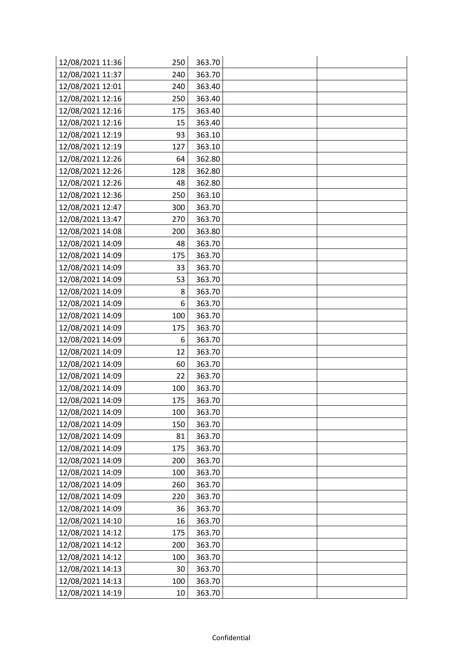| 12/08/2021 11:36 | 250 | 363.70 |  |
|------------------|-----|--------|--|
| 12/08/2021 11:37 | 240 | 363.70 |  |
| 12/08/2021 12:01 | 240 | 363.40 |  |
| 12/08/2021 12:16 | 250 | 363.40 |  |
| 12/08/2021 12:16 | 175 | 363.40 |  |
| 12/08/2021 12:16 | 15  | 363.40 |  |
| 12/08/2021 12:19 | 93  | 363.10 |  |
| 12/08/2021 12:19 | 127 | 363.10 |  |
| 12/08/2021 12:26 | 64  | 362.80 |  |
| 12/08/2021 12:26 | 128 | 362.80 |  |
| 12/08/2021 12:26 | 48  | 362.80 |  |
| 12/08/2021 12:36 | 250 | 363.10 |  |
| 12/08/2021 12:47 | 300 | 363.70 |  |
| 12/08/2021 13:47 | 270 | 363.70 |  |
| 12/08/2021 14:08 | 200 | 363.80 |  |
| 12/08/2021 14:09 | 48  | 363.70 |  |
| 12/08/2021 14:09 | 175 | 363.70 |  |
| 12/08/2021 14:09 | 33  | 363.70 |  |
| 12/08/2021 14:09 | 53  | 363.70 |  |
| 12/08/2021 14:09 | 8   | 363.70 |  |
| 12/08/2021 14:09 | 6   | 363.70 |  |
| 12/08/2021 14:09 | 100 | 363.70 |  |
| 12/08/2021 14:09 | 175 | 363.70 |  |
| 12/08/2021 14:09 | 6   | 363.70 |  |
| 12/08/2021 14:09 | 12  | 363.70 |  |
| 12/08/2021 14:09 | 60  | 363.70 |  |
| 12/08/2021 14:09 | 22  | 363.70 |  |
| 12/08/2021 14:09 | 100 | 363.70 |  |
| 12/08/2021 14:09 | 175 | 363.70 |  |
| 12/08/2021 14:09 | 100 | 363.70 |  |
| 12/08/2021 14:09 | 150 | 363.70 |  |
| 12/08/2021 14:09 | 81  | 363.70 |  |
| 12/08/2021 14:09 | 175 | 363.70 |  |
| 12/08/2021 14:09 | 200 | 363.70 |  |
| 12/08/2021 14:09 | 100 | 363.70 |  |
| 12/08/2021 14:09 | 260 | 363.70 |  |
| 12/08/2021 14:09 | 220 | 363.70 |  |
| 12/08/2021 14:09 | 36  | 363.70 |  |
| 12/08/2021 14:10 | 16  | 363.70 |  |
| 12/08/2021 14:12 | 175 | 363.70 |  |
| 12/08/2021 14:12 | 200 | 363.70 |  |
| 12/08/2021 14:12 | 100 | 363.70 |  |
| 12/08/2021 14:13 | 30  | 363.70 |  |
| 12/08/2021 14:13 | 100 | 363.70 |  |
| 12/08/2021 14:19 | 10  | 363.70 |  |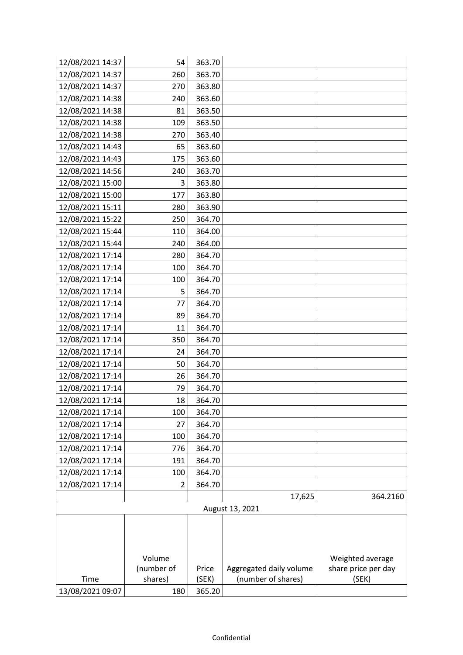| 12/08/2021 14:37 | 54                    | 363.70         |                                               |                              |
|------------------|-----------------------|----------------|-----------------------------------------------|------------------------------|
| 12/08/2021 14:37 | 260                   | 363.70         |                                               |                              |
| 12/08/2021 14:37 | 270                   | 363.80         |                                               |                              |
| 12/08/2021 14:38 | 240                   | 363.60         |                                               |                              |
| 12/08/2021 14:38 | 81                    | 363.50         |                                               |                              |
| 12/08/2021 14:38 | 109                   | 363.50         |                                               |                              |
| 12/08/2021 14:38 | 270                   | 363.40         |                                               |                              |
| 12/08/2021 14:43 | 65                    | 363.60         |                                               |                              |
| 12/08/2021 14:43 | 175                   | 363.60         |                                               |                              |
| 12/08/2021 14:56 | 240                   | 363.70         |                                               |                              |
| 12/08/2021 15:00 | 3                     | 363.80         |                                               |                              |
| 12/08/2021 15:00 | 177                   | 363.80         |                                               |                              |
| 12/08/2021 15:11 | 280                   | 363.90         |                                               |                              |
| 12/08/2021 15:22 | 250                   | 364.70         |                                               |                              |
| 12/08/2021 15:44 | 110                   | 364.00         |                                               |                              |
| 12/08/2021 15:44 | 240                   | 364.00         |                                               |                              |
| 12/08/2021 17:14 | 280                   | 364.70         |                                               |                              |
| 12/08/2021 17:14 | 100                   | 364.70         |                                               |                              |
| 12/08/2021 17:14 | 100                   | 364.70         |                                               |                              |
| 12/08/2021 17:14 | 5                     | 364.70         |                                               |                              |
| 12/08/2021 17:14 | 77                    | 364.70         |                                               |                              |
| 12/08/2021 17:14 | 89                    | 364.70         |                                               |                              |
| 12/08/2021 17:14 | 11                    | 364.70         |                                               |                              |
| 12/08/2021 17:14 | 350                   | 364.70         |                                               |                              |
| 12/08/2021 17:14 | 24                    | 364.70         |                                               |                              |
| 12/08/2021 17:14 | 50                    | 364.70         |                                               |                              |
| 12/08/2021 17:14 | 26                    | 364.70         |                                               |                              |
| 12/08/2021 17:14 | 79                    | 364.70         |                                               |                              |
| 12/08/2021 17:14 | 18                    | 364.70         |                                               |                              |
| 12/08/2021 17:14 | 100                   | 364.70         |                                               |                              |
| 12/08/2021 17:14 | 27                    | 364.70         |                                               |                              |
| 12/08/2021 17:14 | 100                   | 364.70         |                                               |                              |
| 12/08/2021 17:14 | 776                   | 364.70         |                                               |                              |
| 12/08/2021 17:14 | 191                   | 364.70         |                                               |                              |
| 12/08/2021 17:14 | 100                   | 364.70         |                                               |                              |
| 12/08/2021 17:14 | 2                     | 364.70         |                                               |                              |
|                  |                       |                | 17,625                                        | 364.2160                     |
|                  |                       |                | August 13, 2021                               |                              |
|                  |                       |                |                                               |                              |
|                  |                       |                |                                               |                              |
|                  |                       |                |                                               |                              |
|                  | Volume                |                |                                               | Weighted average             |
|                  |                       |                |                                               |                              |
| Time             | (number of<br>shares) | Price<br>(SEK) | Aggregated daily volume<br>(number of shares) | share price per day<br>(SEK) |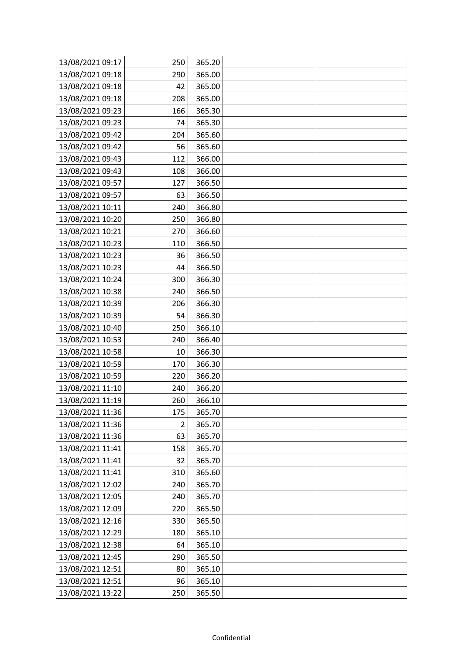| 13/08/2021 09:17 | 250 | 365.20 |  |
|------------------|-----|--------|--|
| 13/08/2021 09:18 | 290 | 365.00 |  |
| 13/08/2021 09:18 | 42  | 365.00 |  |
| 13/08/2021 09:18 | 208 | 365.00 |  |
| 13/08/2021 09:23 | 166 | 365.30 |  |
| 13/08/2021 09:23 | 74  | 365.30 |  |
| 13/08/2021 09:42 | 204 | 365.60 |  |
| 13/08/2021 09:42 | 56  | 365.60 |  |
| 13/08/2021 09:43 | 112 | 366.00 |  |
| 13/08/2021 09:43 | 108 | 366.00 |  |
| 13/08/2021 09:57 | 127 | 366.50 |  |
| 13/08/2021 09:57 | 63  | 366.50 |  |
| 13/08/2021 10:11 | 240 | 366.80 |  |
| 13/08/2021 10:20 | 250 | 366.80 |  |
| 13/08/2021 10:21 | 270 | 366.60 |  |
| 13/08/2021 10:23 | 110 | 366.50 |  |
| 13/08/2021 10:23 | 36  | 366.50 |  |
| 13/08/2021 10:23 | 44  | 366.50 |  |
| 13/08/2021 10:24 | 300 | 366.30 |  |
| 13/08/2021 10:38 | 240 | 366.50 |  |
| 13/08/2021 10:39 | 206 | 366.30 |  |
| 13/08/2021 10:39 | 54  | 366.30 |  |
| 13/08/2021 10:40 | 250 | 366.10 |  |
| 13/08/2021 10:53 | 240 | 366.40 |  |
| 13/08/2021 10:58 | 10  | 366.30 |  |
| 13/08/2021 10:59 | 170 | 366.30 |  |
| 13/08/2021 10:59 | 220 | 366.20 |  |
| 13/08/2021 11:10 | 240 | 366.20 |  |
| 13/08/2021 11:19 | 260 | 366.10 |  |
| 13/08/2021 11:36 | 175 | 365.70 |  |
| 13/08/2021 11:36 | 2   | 365.70 |  |
| 13/08/2021 11:36 | 63  | 365.70 |  |
| 13/08/2021 11:41 | 158 | 365.70 |  |
| 13/08/2021 11:41 | 32  | 365.70 |  |
| 13/08/2021 11:41 | 310 | 365.60 |  |
| 13/08/2021 12:02 | 240 | 365.70 |  |
| 13/08/2021 12:05 | 240 | 365.70 |  |
| 13/08/2021 12:09 | 220 | 365.50 |  |
| 13/08/2021 12:16 | 330 | 365.50 |  |
| 13/08/2021 12:29 | 180 | 365.10 |  |
| 13/08/2021 12:38 | 64  | 365.10 |  |
| 13/08/2021 12:45 | 290 | 365.50 |  |
| 13/08/2021 12:51 | 80  | 365.10 |  |
| 13/08/2021 12:51 | 96  | 365.10 |  |
| 13/08/2021 13:22 | 250 | 365.50 |  |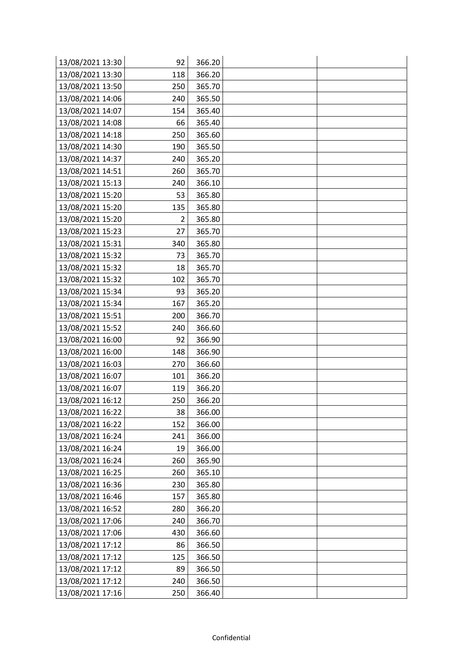| 13/08/2021 13:30 | 92  | 366.20 |  |
|------------------|-----|--------|--|
| 13/08/2021 13:30 | 118 | 366.20 |  |
| 13/08/2021 13:50 | 250 | 365.70 |  |
| 13/08/2021 14:06 | 240 | 365.50 |  |
| 13/08/2021 14:07 | 154 | 365.40 |  |
| 13/08/2021 14:08 | 66  | 365.40 |  |
| 13/08/2021 14:18 | 250 | 365.60 |  |
| 13/08/2021 14:30 | 190 | 365.50 |  |
| 13/08/2021 14:37 | 240 | 365.20 |  |
| 13/08/2021 14:51 | 260 | 365.70 |  |
| 13/08/2021 15:13 | 240 | 366.10 |  |
| 13/08/2021 15:20 | 53  | 365.80 |  |
| 13/08/2021 15:20 | 135 | 365.80 |  |
| 13/08/2021 15:20 | 2   | 365.80 |  |
| 13/08/2021 15:23 | 27  | 365.70 |  |
| 13/08/2021 15:31 | 340 | 365.80 |  |
| 13/08/2021 15:32 | 73  | 365.70 |  |
| 13/08/2021 15:32 | 18  | 365.70 |  |
| 13/08/2021 15:32 | 102 | 365.70 |  |
| 13/08/2021 15:34 | 93  | 365.20 |  |
| 13/08/2021 15:34 | 167 | 365.20 |  |
| 13/08/2021 15:51 | 200 | 366.70 |  |
| 13/08/2021 15:52 | 240 | 366.60 |  |
| 13/08/2021 16:00 | 92  | 366.90 |  |
| 13/08/2021 16:00 | 148 | 366.90 |  |
| 13/08/2021 16:03 | 270 | 366.60 |  |
| 13/08/2021 16:07 | 101 | 366.20 |  |
| 13/08/2021 16:07 | 119 | 366.20 |  |
| 13/08/2021 16:12 | 250 | 366.20 |  |
| 13/08/2021 16:22 | 38  | 366.00 |  |
| 13/08/2021 16:22 | 152 | 366.00 |  |
| 13/08/2021 16:24 | 241 | 366.00 |  |
| 13/08/2021 16:24 | 19  | 366.00 |  |
| 13/08/2021 16:24 | 260 | 365.90 |  |
| 13/08/2021 16:25 | 260 | 365.10 |  |
| 13/08/2021 16:36 | 230 | 365.80 |  |
| 13/08/2021 16:46 | 157 | 365.80 |  |
| 13/08/2021 16:52 | 280 | 366.20 |  |
| 13/08/2021 17:06 | 240 | 366.70 |  |
| 13/08/2021 17:06 | 430 | 366.60 |  |
| 13/08/2021 17:12 | 86  | 366.50 |  |
| 13/08/2021 17:12 | 125 | 366.50 |  |
| 13/08/2021 17:12 | 89  | 366.50 |  |
| 13/08/2021 17:12 | 240 | 366.50 |  |
| 13/08/2021 17:16 | 250 | 366.40 |  |